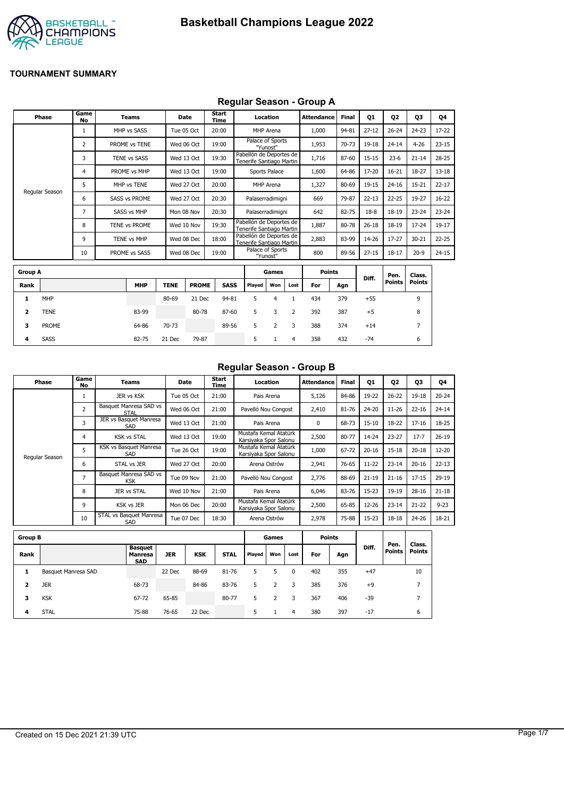

#### **Regular Season - Group A**

|                | <b>Phase</b>   | Game<br>No     | Teams                |             | <b>Date</b>  | <b>Start</b><br>Time |             |                                                     | Location      |              | <b>Attendance</b> | <b>Final</b> | 01        | 02            | 03             | Q4        |
|----------------|----------------|----------------|----------------------|-------------|--------------|----------------------|-------------|-----------------------------------------------------|---------------|--------------|-------------------|--------------|-----------|---------------|----------------|-----------|
|                |                | 1              | MHP vs SASS          |             | Tue 05 Oct   | 20:00                |             |                                                     | MHP Arena     |              | 1,000             | 94-81        | $27 - 12$ | $26 - 24$     | $24 - 23$      | 17-22     |
|                |                | $\overline{2}$ | PROME vs TENE        |             | Wed 06 Oct   | 19:00                |             | Palace of Sports                                    | "Yunost"      |              | 1,953             | 70-73        | 19-18     | $24 - 14$     | $4 - 26$       | $23 - 15$ |
|                |                | 3              | <b>TENE vs SASS</b>  |             | Wed 13 Oct   | 19:30                |             | Pabellón de Deportes de<br>Tenerife Santiago Martin |               |              | 1,716             | 87-60        | $15 - 15$ | $23-6$        | $21 - 14$      | $28 - 25$ |
|                |                | 4              | PROME vs MHP         |             | Wed 13 Oct   | 19:00                |             |                                                     | Sports Palace |              | 1,600             | 64-86        | 17-20     | $16 - 21$     | 18-27          | $13 - 18$ |
|                |                | 5              | MHP vs TENE          |             | Wed 27 Oct   | 20:00                |             |                                                     | MHP Arena     |              | 1,327             | 80-69        | 19-15     | $24 - 16$     | $15 - 21$      | $22 - 17$ |
|                | Regular Season | 6              | <b>SASS vs PROME</b> |             | Wed 27 Oct   | 20:30                |             | Palaserradimigni                                    |               |              | 669               | 79-87        | $22 - 13$ | $22 - 25$     | 19-27          | $16 - 22$ |
|                |                | $\overline{7}$ | <b>SASS vs MHP</b>   |             | Mon 08 Nov   | 20:30                |             | Palaserradimigni                                    |               |              | 642               | 82-75        | $18-8$    | 18-19         | $23 - 24$      | $23 - 24$ |
|                |                | 8              | TENE vs PROME        |             | Wed 10 Nov   | 19:30                |             | Pabellón de Deportes de<br>Tenerife Santiago Martin |               |              | 1,887             | 80-78        | $26 - 18$ | 18-19         | 17-24          | $19-17$   |
|                |                | 9              | <b>TENE vs MHP</b>   |             | Wed 08 Dec   | 18:00                |             | Pabellón de Deportes de<br>Tenerife Santiago Martin |               |              | 2,883             | 83-99        | 14-26     | $17 - 27$     | $30 - 21$      | $22 - 25$ |
|                |                | 10             | PROME vs SASS        |             | Wed 08 Dec   | 19:00                |             | Palace of Sports                                    | "Yunost"      |              | 800               | 89-56        | $27 - 15$ | $18 - 17$     | $20-9$         | $24 - 15$ |
|                |                |                |                      |             |              |                      |             |                                                     |               |              |                   |              |           |               |                |           |
| <b>Group A</b> |                |                |                      |             |              |                      |             |                                                     | Games         |              | <b>Points</b>     |              |           | Pen.          | Class.         |           |
| Rank           |                |                | <b>MHP</b>           | <b>TENE</b> | <b>PROME</b> |                      | <b>SASS</b> | Played                                              | Won           | Lost         | For               | Agn          | Diff.     | <b>Points</b> | <b>Points</b>  |           |
| 1              | MHP            |                |                      | 80-69       | 21 Dec       |                      | 94-81       | 5                                                   | 4             | $\mathbf{1}$ | 434               | 379          | $+55$     |               | 9              |           |
| 2              | <b>TENE</b>    |                | 83-99                |             | 80-78        |                      | 87-60       | 5                                                   | 3             | 2            | 392               | 387          | $+5$      |               | 8              |           |
| 3              | <b>PROME</b>   |                | 64-86                | 70-73       |              |                      | 89-56       | 5                                                   | 2             | 3            | 388               | 374          | $+14$     |               | $\overline{7}$ |           |

**4** SASS 82-75 21 Dec 79-87 5 1 4 358 432 -74 6

#### **Regular Season - Group B**

| Phase          | Game<br>No     | Teams                          | Date       | Start<br>Time | Location                                       | <b>Attendance</b> | <b>Final</b> | <b>Q1</b> | Q2        | Q3        | 04        |
|----------------|----------------|--------------------------------|------------|---------------|------------------------------------------------|-------------------|--------------|-----------|-----------|-----------|-----------|
|                |                | JER vs KSK                     | Tue 05 Oct | 21:00         | Pais Arena                                     | 5,126             | 84-86        | 19-22     | $26 - 22$ | 19-18     | $20 - 24$ |
|                | 2              | Basquet Manresa SAD vs<br>STAL | Wed 06 Oct | 21:00         | Pavelló Nou Congost                            | 2,410             | 81-76        | 24-20     | $11 - 26$ | $22 - 16$ | $24 - 14$ |
|                | 3              | JER vs Basquet Manresa<br>SAD  | Wed 13 Oct | 21:00         | Pais Arena                                     | 0                 | 68-73        | $15 - 10$ | 18-22     | $17 - 16$ | 18-25     |
|                | 4              | <b>KSK vs STAL</b>             | Wed 13 Oct | 19:00         | Mustafa Kemal Atatürk<br>Karsiyaka Spor Salonu | 2,500             | 80-77        | 14-24     | $23 - 27$ | $17 - 7$  | $26-19$   |
| Regular Season | 5              | KSK vs Basquet Manresa<br>SAD  | Tue 26 Oct | 19:00         | Mustafa Kemal Atatürk<br>Karsiyaka Spor Salonu | 1,000             | 67-72        | $20 - 16$ | $15 - 18$ | $20 - 18$ | 12-20     |
|                | 6              | STAL vs JER                    | Wed 27 Oct | 20:00         | Arena Ostrów                                   | 2,941             | 76-65        | $11 - 22$ | $23 - 14$ | $20 - 16$ | $22 - 13$ |
|                | $\overline{7}$ | Basquet Manresa SAD vs<br>KSK  | Tue 09 Nov | 21:00         | Pavelló Nou Congost                            | 2,776             | 88-69        | $21 - 19$ | $21 - 16$ | $17 - 15$ | $29-19$   |
|                | 8              | JER vs STAL                    | Wed 10 Nov | 21:00         | Pais Arena                                     | 6,046             | 83-76        | $15 - 23$ | 19-19     | $28 - 16$ | $21 - 18$ |
|                | 9              | <b>KSK vs JER</b>              | Mon 06 Dec | 20:00         | Mustafa Kemal Atatürk<br>Karsiyaka Spor Salonu | 2,500             | 65-85        | $12 - 26$ | $23 - 14$ | $21 - 22$ | $9 - 23$  |
|                | 10             | STAL vs Basquet Manresa<br>SAD | Tue 07 Dec | 18:30         | Arena Ostrów                                   | 2,978             | 75-88        | $15 - 23$ | $18 - 18$ | $24 - 26$ | 18-21     |

| <b>Group B</b> |                     |                                         |            |            |             |        | Games |      | <b>Points</b> |     |       |                       |                         |
|----------------|---------------------|-----------------------------------------|------------|------------|-------------|--------|-------|------|---------------|-----|-------|-----------------------|-------------------------|
| Rank           |                     | Basquet<br><b>Manresa</b><br><b>SAD</b> | <b>JER</b> | <b>KSK</b> | <b>STAL</b> | Played | Won   | Lost | For           | Agn | Diff. | Pen.<br><b>Points</b> | Class.<br><b>Points</b> |
| 1              | Basquet Manresa SAD |                                         | 22 Dec     | 88-69      | 81-76       | 5      |       | 0    | 402           | 355 | $+47$ |                       | 10                      |
| 2              | <b>JER</b>          | 68-73                                   |            | 84-86      | 83-76       | 5      |       | 3    | 385           | 376 | $+9$  |                       | –                       |
| 3              | <b>KSK</b>          | 67-72                                   | 65-85      |            | 80-77       | 5      | 2     | 3    | 367           | 406 | $-39$ |                       | –                       |
| 4              | <b>STAL</b>         | 75-88                                   | 76-65      | 22 Dec     |             | 5.     |       | 4    | 380           | 397 | $-17$ |                       | 6                       |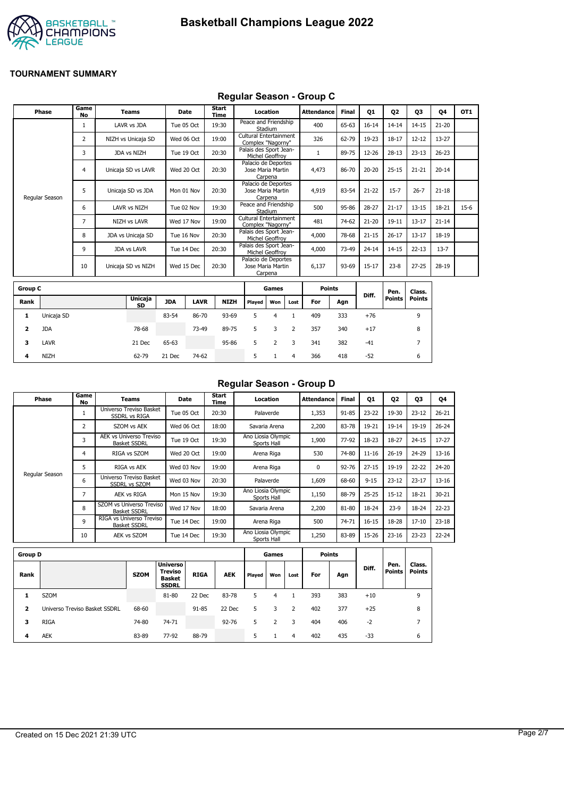

## **Regular Season - Group C**

|                | Phase          | Game                      | Teams               | <b>Date</b> |             | Start         |                                             | Location               |                | <b>Attendance</b> | <b>Final</b> | Q1        | Q <sub>2</sub> | 03             | 04        | OT <sub>1</sub> |
|----------------|----------------|---------------------------|---------------------|-------------|-------------|---------------|---------------------------------------------|------------------------|----------------|-------------------|--------------|-----------|----------------|----------------|-----------|-----------------|
|                |                | <b>No</b><br>$\mathbf{1}$ | LAVR vs JDA         |             | Tue 05 Oct  | Time<br>19:30 | Peace and Friendship                        | Stadium                |                | 400               | 65-63        | $16 - 14$ | $14 - 14$      | $14 - 15$      | $21 - 20$ |                 |
|                |                | 2                         | NIZH vs Unicaja SD  |             | Wed 06 Oct  | 19:00         | Cultural Entertainment<br>Complex "Nagorny" |                        |                | 326               | 62-79        | 19-23     | $18 - 17$      | $12 - 12$      | $13 - 27$ |                 |
|                |                | 3                         | JDA vs NIZH         |             | Tue 19 Oct  | 20:30         | Palais des Sport Jean-                      | Michel Geoffroy        |                | 1                 | 89-75        | 12-26     | $28 - 13$      | $23 - 13$      | $26 - 23$ |                 |
|                |                | $\overline{4}$            | Unicaja SD vs LAVR  |             | Wed 20 Oct  | 20:30         | Palacio de Deportes<br>Jose Maria Martin    | Carpena                |                | 4,473             | 86-70        | $20 - 20$ | $25 - 15$      | $21 - 21$      | $20 - 14$ |                 |
|                | Regular Season | 5                         | Unicaja SD vs JDA   | Mon 01 Nov  |             | 20:30         | Palacio de Deportes<br>Jose Maria Martin    | Carpena                |                | 4,919             | 83-54        | $21 - 22$ | $15 - 7$       | $26 - 7$       | $21 - 18$ |                 |
|                |                | 6                         | LAVR vs NIZH        |             | Tue 02 Nov  | 19:30         | Peace and Friendship                        | Stadium                |                | 500               | 95-86        | 28-27     | $21 - 17$      | $13 - 15$      | 18-21     | $15-6$          |
|                |                | 7                         | <b>NIZH vs LAVR</b> |             | Wed 17 Nov  | 19:00         | Cultural Entertainment<br>Complex "Nagorny" |                        |                | 481               | 74-62        | $21 - 20$ | 19-11          | $13 - 17$      | $21 - 14$ |                 |
|                |                | 8                         | JDA vs Unicaja SD   | Tue 16 Nov  |             | 20:30         | Palais des Sport Jean-                      | Michel Geoffroy        |                | 4,000             | 78-68        | $21 - 15$ | $26 - 17$      | $13 - 17$      | 18-19     |                 |
|                |                | 9                         | <b>JDA vs LAVR</b>  |             | Tue 14 Dec  | 20:30         | Palais des Sport Jean-                      | <b>Michel Geoffrov</b> |                | 4,000             | 73-49        | $24 - 14$ | $14 - 15$      | $22 - 13$      | $13 - 7$  |                 |
|                |                | 10                        | Unicaja SD vs NIZH  | Wed 15 Dec  |             | 20:30         | Palacio de Deportes<br>Jose Maria Martin    | Carpena                |                | 6,137             | 93-69        | $15 - 17$ | $23 - 8$       | $27 - 25$      | 28-19     |                 |
| <b>Group C</b> |                |                           |                     |             |             |               |                                             | Games                  |                | <b>Points</b>     |              |           | Pen.           | Class.         |           |                 |
| Rank           |                |                           | Unicaja<br>SD       | <b>JDA</b>  | <b>LAVR</b> | <b>NIZH</b>   | Played                                      | Won                    | Lost           | For               | Agn          | Diff.     | <b>Points</b>  | <b>Points</b>  |           |                 |
| 1              | Unicaja SD     |                           |                     | 83-54       | 86-70       | 93-69         | 5                                           | $\overline{4}$         | $\mathbf{1}$   | 409               | 333          | $+76$     |                | 9              |           |                 |
| 2              | <b>JDA</b>     |                           | 78-68               |             | 73-49       | 89-75         | 5                                           | 3                      | $\overline{2}$ | 357               | 340          | $+17$     |                | 8              |           |                 |
| з              | <b>LAVR</b>    |                           | 21 Dec              | 65-63       |             | 95-86         | 5                                           | $\overline{2}$         | 3              | 341               | 382          | $-41$     |                | $\overline{7}$ |           |                 |
| 4              | <b>NIZH</b>    |                           | 62-79               | 21 Dec      | 74-62       |               | 5                                           | $\mathbf{1}$           | $\overline{4}$ | 366               | 418          | $-52$     |                | 6              |           |                 |

#### **Regular Season - Group D**

| Phase          | Game<br>No     | Teams                                           | Date       | Start<br>Time | Location                          | <b>Attendance</b> | <b>Final</b> | Q1        | Q <sub>2</sub> | 03        | Q4        |
|----------------|----------------|-------------------------------------------------|------------|---------------|-----------------------------------|-------------------|--------------|-----------|----------------|-----------|-----------|
|                |                | Universo Treviso Basket<br><b>SSDRL vs RIGA</b> | Tue 05 Oct | 20:30         | Palaverde                         | 1,353             | $91 - 85$    | $23 - 22$ | 19-30          | $23 - 12$ | $26 - 21$ |
|                | 2              | SZOM vs AEK                                     | Wed 06 Oct | 18:00         | Savaria Arena                     | 2,200             | 83-78        | 19-21     | 19-14          | 19-19     | $26 - 24$ |
|                | 3              | AEK vs Universo Treviso<br><b>Basket SSDRL</b>  | Tue 19 Oct | 19:30         | Ano Liosia Olympic<br>Sports Hall | 1,900             | 77-92        | 18-23     | 18-27          | $24 - 15$ | $17 - 27$ |
|                | 4              | RIGA vs SZOM                                    | Wed 20 Oct | 19:00         | Arena Riga                        | 530               | 74-80        | $11 - 16$ | $26 - 19$      | 24-29     | $13 - 16$ |
|                | 5              | RIGA vs AEK                                     | Wed 03 Nov | 19:00         | Arena Riga                        | 0                 | $92 - 76$    | $27 - 15$ | 19-19          | $22 - 22$ | 24-20     |
| Regular Season | 6              | Universo Treviso Basket<br>SSDRL vs SZOM        | Wed 03 Nov | 20:30         | Palaverde                         | 1,609             | 68-60        | $9 - 15$  | $23 - 12$      | $23 - 17$ | $13 - 16$ |
|                | $\overline{ }$ | AEK vs RIGA                                     | Mon 15 Nov | 19:30         | Ano Liosia Olympic<br>Sports Hall | 1,150             | 88-79        | $25 - 25$ | $15 - 12$      | 18-21     | $30 - 21$ |
|                | 8              | SZOM vs Universo Treviso<br><b>Basket SSDRL</b> | Wed 17 Nov | 18:00         | Savaria Arena                     | 2,200             | 81-80        | 18-24     | $23-9$         | 18-24     | $22 - 23$ |
|                | 9              | RIGA vs Universo Treviso<br><b>Basket SSDRL</b> | Tue 14 Dec | 19:00         | Arena Riga                        | 500               | 74-71        | 16-15     | 18-28          | $17 - 10$ | $23 - 18$ |
|                | 10             | AEK vs SZOM                                     | Tue 14 Dec | 19:30         | Ano Liosia Olympic<br>Sports Hall | 1,250             | 83-89        | 15-26     | $23 - 16$      | $23 - 23$ | $22 - 24$ |

| <b>Group D</b> |                               |             |                                                                    |             |            |        | Games |      |     | <b>Points</b> |       |                |                         |
|----------------|-------------------------------|-------------|--------------------------------------------------------------------|-------------|------------|--------|-------|------|-----|---------------|-------|----------------|-------------------------|
| Rank           |                               | <b>SZOM</b> | <b>Universo</b><br><b>Treviso</b><br><b>Basket</b><br><b>SSDRL</b> | <b>RIGA</b> | <b>AEK</b> | Played | Won   | Lost | For | Agn           | Diff. | Pen.<br>Points | Class.<br><b>Points</b> |
|                | <b>SZOM</b>                   |             | 81-80                                                              | 22 Dec      | 83-78      | 5      | 4     |      | 393 | 383           | $+10$ |                | 9                       |
| $\overline{2}$ | Universo Treviso Basket SSDRL | 68-60       |                                                                    | 91-85       | 22 Dec     | 5      | 3     | 2    | 402 | 377           | $+25$ |                | 8                       |
| 3              | <b>RIGA</b>                   | 74-80       | 74-71                                                              |             | $92 - 76$  | 5.     | 2     | 3    | 404 | 406           | $-2$  |                | ∍                       |
| 4              | <b>AEK</b>                    | 83-89       | 77-92                                                              | 88-79       |            | 5.     |       | 4    | 402 | 435           | $-33$ |                | 6                       |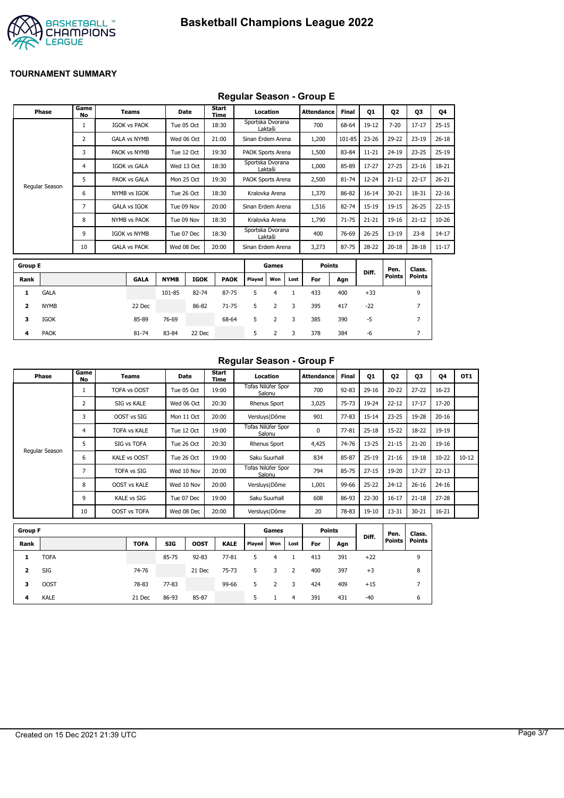

#### **Regular Season - Group E**

|                         |                |                   |                     |             |             | .                    |                   |                |              |                   |              |           |               |                |           |
|-------------------------|----------------|-------------------|---------------------|-------------|-------------|----------------------|-------------------|----------------|--------------|-------------------|--------------|-----------|---------------|----------------|-----------|
|                         | <b>Phase</b>   | Game<br><b>No</b> | <b>Teams</b>        |             | Date        | <b>Start</b><br>Time |                   | Location       |              | <b>Attendance</b> | <b>Final</b> | Q1        | 02            | Q3             | Q4        |
|                         |                | 1                 | <b>IGOK vs PAOK</b> |             | Tue 05 Oct  | 18:30                | Sportska Dvorana  | Laktaši        |              | 700               | 68-64        | $19-12$   | $7 - 20$      | $17 - 17$      | $25 - 15$ |
|                         |                | 2                 | <b>GALA vs NYMB</b> |             | Wed 06 Oct  | 21:00                | Sinan Erdem Arena |                |              | 1,200             | 101-85       | $23 - 26$ | 29-22         | $23-19$        | $26 - 18$ |
|                         |                | 3                 | PAOK vs NYMB        |             | Tue 12 Oct  | 19:30                | PAOK Sports Arena |                |              | 1,500             | 83-84        | $11 - 21$ | $24 - 19$     | $23 - 25$      | $25-19$   |
|                         |                | 4                 | <b>IGOK vs GALA</b> |             | Wed 13 Oct  | 18:30                | Sportska Dvorana  | Laktaši        |              | 1,000             | 85-89        | $17 - 27$ | $27 - 25$     | $23 - 16$      | 18-21     |
|                         |                | 5                 | PAOK vs GALA        |             | Mon 25 Oct  | 19:30                | PAOK Sports Arena |                |              | 2,500             | $81 - 74$    | $12 - 24$ | $21 - 12$     | $22 - 17$      | $26 - 21$ |
|                         | Regular Season | 6                 | NYMB vs IGOK        |             | Tue 26 Oct  | 18:30                |                   | Kralovka Arena |              | 1,370             | 86-82        | $16 - 14$ | $30 - 21$     | 18-31          | $22 - 16$ |
|                         |                | 7                 | <b>GALA vs IGOK</b> |             | Tue 09 Nov  | 20:00                | Sinan Erdem Arena |                |              | 1,516             | 82-74        | $15-19$   | $19 - 15$     | $26 - 25$      | $22 - 15$ |
|                         |                | 8                 | <b>NYMB vs PAOK</b> |             | Tue 09 Nov  | 18:30                |                   | Kralovka Arena |              | 1,790             | $71 - 75$    | $21 - 21$ | 19-16         | $21 - 12$      | $10 - 26$ |
|                         |                | 9                 | <b>IGOK vs NYMB</b> |             | Tue 07 Dec  | 18:30                | Sportska Dvorana  | Laktaši        |              | 400               | 76-69        | $26 - 25$ | $13 - 19$     | $23 - 8$       | $14 - 17$ |
|                         |                | 10                | <b>GALA vs PAOK</b> |             | Wed 08 Dec  | 20:00                | Sinan Erdem Arena |                |              | 3,273             | 87-75        | 28-22     | $20 - 18$     | $28 - 18$      | $11 - 17$ |
| <b>Group E</b>          |                |                   |                     |             |             |                      |                   | Games          |              | <b>Points</b>     |              |           | Pen.          | Class.         |           |
| Rank                    |                |                   | <b>GALA</b>         | <b>NYMB</b> | <b>IGOK</b> | <b>PAOK</b>          | Played            | Won            | Lost         | For               | Agn          | Diff.     | <b>Points</b> | <b>Points</b>  |           |
| 1                       | <b>GALA</b>    |                   |                     | 101-85      | 82-74       | 87-75                | 5                 | $\overline{4}$ | $\mathbf{1}$ | 433               | 400          | $+33$     |               | 9              |           |
| $\overline{\mathbf{2}}$ | <b>NYMB</b>    |                   | 22 Dec              |             | 86-82       | $71 - 75$            | 5                 | $\overline{2}$ | 3            | 395               | 417          | $-22$     |               | $\overline{7}$ |           |
| з                       | <b>IGOK</b>    |                   | 85-89               | 76-69       |             | 68-64                | 5                 | $\overline{2}$ | 3            | 385               | 390          | $-5$      |               | $\overline{7}$ |           |
| 4                       | <b>PAOK</b>    |                   | 81-74               | 83-84       | 22 Dec      |                      | 5                 | 2              | 3            | 378               | 384          | -6        |               | 7              |           |

#### **Regular Season - Group F**

| Phase          | Game<br>No | <b>Teams</b>        | Date       | Start<br>Time | Location                            | <b>Attendance</b> | <b>Final</b> | 01        | 02        | 03        | 04        | OT <sub>1</sub> |
|----------------|------------|---------------------|------------|---------------|-------------------------------------|-------------------|--------------|-----------|-----------|-----------|-----------|-----------------|
|                |            | <b>TOFA vs OOST</b> | Tue 05 Oct | 19:00         | Tofas Nilüfer Spor<br>Salonu        | 700               | $92 - 83$    | $29 - 16$ | $20 - 22$ | $27 - 22$ | $16 - 23$ |                 |
|                |            | SIG vs KALE         | Wed 06 Oct | 20:30         | Rhenus Sport                        | 3,025             | 75-73        | 19-24     | $22 - 12$ | $17 - 17$ | 17-20     |                 |
|                |            | OOST vs SIG         | Mon 11 Oct | 20:00         | Versluys   Dôme                     | 901               | $77 - 83$    | $15 - 14$ | $23 - 25$ | 19-28     | $20 - 16$ |                 |
|                | 4          | <b>TOFA vs KALE</b> | Tue 12 Oct | 19:00         | <b>Tofas Nilüfer Spor</b><br>Salonu | 0                 | 77-81        | $25 - 18$ | $15 - 22$ | 18-22     | 19-19     |                 |
|                |            | SIG vs TOFA         | Tue 26 Oct | 20:30         | Rhenus Sport                        | 4,425             | 74-76        | $13 - 25$ | $21 - 15$ | $21 - 20$ | 19-16     |                 |
| Regular Season | 6          | <b>KALE vs OOST</b> | Tue 26 Oct | 19:00         | Saku Suurhall                       | 834               | 85-87        | $25-19$   | $21 - 16$ | $19 - 18$ | $10 - 22$ | $10 - 12$       |
|                |            | TOFA vs SIG         | Wed 10 Nov | 20:00         | Tofas Nilüfer Spor<br>Salonu        | 794               | 85-75        | $27 - 15$ | 19-20     | $17 - 27$ | $22 - 13$ |                 |
|                | 8          | <b>OOST vs KALE</b> | Wed 10 Nov | 20:00         | Versluys   Dôme                     | 1,001             | 99-66        | $25 - 22$ | $24 - 12$ | $26 - 16$ | $24 - 16$ |                 |
|                | 9          | <b>KALE vs SIG</b>  | Tue 07 Dec | 19:00         | Saku Suurhall                       | 608               | 86-93        | $22 - 30$ | $16 - 17$ | $21 - 18$ | $27 - 28$ |                 |
|                | 10         | OOST vs TOFA        | Wed 08 Dec | 20:00         | Versluys   Dôme                     | 20                | 78-83        | $19-10$   | 13-31     | $30 - 21$ | $16 - 21$ |                 |

| <b>Group F</b> |             |             |            |             |             |        | Games |      | <b>Points</b> |     | Diff. | Pen.          | Class.        |
|----------------|-------------|-------------|------------|-------------|-------------|--------|-------|------|---------------|-----|-------|---------------|---------------|
| Rank           |             | <b>TOFA</b> | <b>SIG</b> | <b>OOST</b> | <b>KALE</b> | Played | Won   | Lost | For           | Agn |       | <b>Points</b> | <b>Points</b> |
|                | <b>TOFA</b> |             | 85-75      | $92 - 83$   | $77 - 81$   | 5      | 4     |      | 413           | 391 | $+22$ |               | 9             |
| 2              | SIG         | 74-76       |            | 21 Dec      | 75-73       | 5      | 3     | 2    | 400           | 397 | $+3$  |               | 8             |
| з              | <b>OOST</b> | 78-83       | 77-83      |             | 99-66       | 5.     | 2     | 3    | 424           | 409 | $+15$ |               | 7             |
| 4              | <b>KALE</b> | 21 Dec      | 86-93      | 85-87       |             | 5      |       | 4    | 391           | 431 | $-40$ |               | 6             |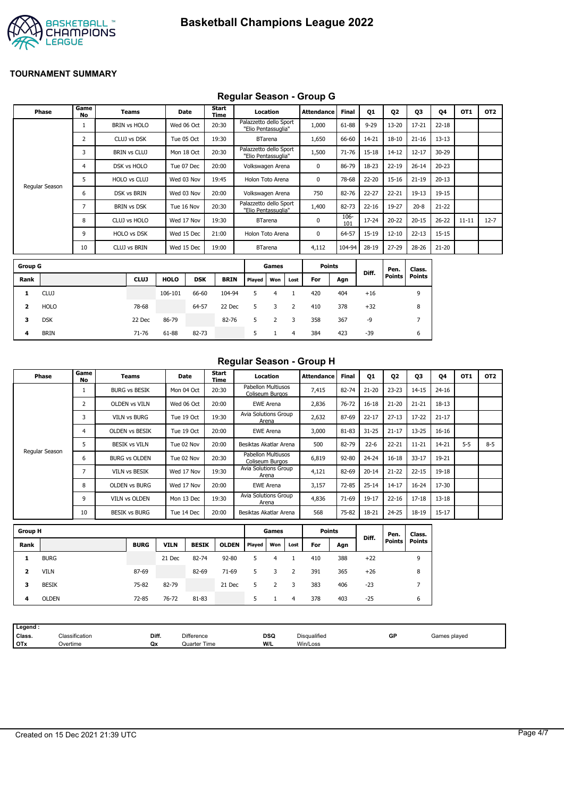

## **Regular Season - Group G**

|                | Phase          | Game<br><b>No</b> | <b>Teams</b>        | <b>Date</b> |            | <b>Start</b><br><b>Time</b> |                                               | Location       |                | Attendance    | <b>Final</b> | Q1        | Q <sub>2</sub>        | Q3                      | Q4        | OT <sub>1</sub> | OT <sub>2</sub> |
|----------------|----------------|-------------------|---------------------|-------------|------------|-----------------------------|-----------------------------------------------|----------------|----------------|---------------|--------------|-----------|-----------------------|-------------------------|-----------|-----------------|-----------------|
|                |                | $\mathbf{1}$      | <b>BRIN vs HOLO</b> | Wed 06 Oct  |            | 20:30                       | Palazzetto dello Sport<br>"Elio Pentassuglia" |                |                | 1,000         | 61-88        | $9 - 29$  | $13 - 20$             | $17 - 21$               | $22 - 18$ |                 |                 |
|                |                | $\overline{2}$    | CLUJ vs DSK         | Tue 05 Oct  |            | 19:30                       |                                               | <b>BTarena</b> |                | 1,650         | 66-60        | 14-21     | $18 - 10$             | $21 - 16$               | $13 - 13$ |                 |                 |
|                |                | 3                 | <b>BRIN vs CLUJ</b> | Mon 18 Oct  |            | 20:30                       | Palazzetto dello Sport<br>"Elio Pentassuglia" |                |                | 1,500         | $71 - 76$    | $15 - 18$ | $14 - 12$             | $12 - 17$               | 30-29     |                 |                 |
|                |                | 4                 | DSK vs HOLO         | Tue 07 Dec  |            | 20:00                       | Volkswagen Arena                              |                |                | 0             | 86-79        | 18-23     | $22 - 19$             | $26 - 14$               | $20 - 23$ |                 |                 |
|                |                | 5                 | HOLO vs CLUJ        | Wed 03 Nov  |            | 19:45                       | Holon Toto Arena                              |                |                | 0             | 78-68        | $22 - 20$ | $15 - 16$             | $21 - 19$               | $20 - 13$ |                 |                 |
|                | Regular Season | 6                 | DSK vs BRIN         | Wed 03 Nov  |            | 20:00                       | Volkswagen Arena                              |                |                | 750           | 82-76        | $22 - 27$ | $22 - 21$             | $19 - 13$               | 19-15     |                 |                 |
|                |                | 7                 | <b>BRIN vs DSK</b>  | Tue 16 Nov  |            | 20:30                       | Palazzetto dello Sport<br>"Elio Pentassuglia" |                |                | 1,400         | 82-73        | $22 - 16$ | 19-27                 | $20 - 8$                | $21 - 22$ |                 |                 |
|                |                | 8                 | CLUJ vs HOLO        | Wed 17 Nov  |            | 19:30                       |                                               | <b>BTarena</b> |                | 0             | 106-<br>101  | $17 - 24$ | $20 - 22$             | $20 - 15$               | $26 - 22$ | $11 - 11$       | $12 - 7$        |
|                |                | 9                 | HOLO vs DSK         | Wed 15 Dec  |            | 21:00                       | Holon Toto Arena                              |                |                | 0             | 64-57        | $15 - 19$ | $12 - 10$             | $22 - 13$               | $15 - 15$ |                 |                 |
|                |                | 10                | CLUJ vs BRIN        | Wed 15 Dec  |            | 19:00                       |                                               | <b>BTarena</b> |                | 4,112         | 104-94       | $28-19$   | $27 - 29$             | $28 - 26$               | $21 - 20$ |                 |                 |
| <b>Group G</b> |                |                   |                     |             |            |                             |                                               | Games          |                | <b>Points</b> |              |           |                       |                         |           |                 |                 |
|                |                |                   |                     |             |            |                             |                                               |                |                |               |              | Diff.     | Pen.<br><b>Points</b> | Class.<br><b>Points</b> |           |                 |                 |
| Rank           |                |                   | <b>CLUJ</b>         | <b>HOLO</b> | <b>DSK</b> | <b>BRIN</b>                 | Played                                        | Won            | Lost           | For           | Agn          |           |                       |                         |           |                 |                 |
| 1              | <b>CLUJ</b>    |                   |                     | 106-101     | 66-60      | 104-94                      | 5                                             | $\overline{4}$ | $\mathbf{1}$   | 420           | 404          | $+16$     |                       | 9                       |           |                 |                 |
| 2              | <b>HOLO</b>    |                   | 78-68               |             | 64-57      | 22 Dec                      | 5                                             | 3              | 2              | 410           | 378          | $+32$     |                       | 8                       |           |                 |                 |
| 3              | <b>DSK</b>     |                   | 22 Dec              | 86-79       |            | 82-76                       | 5                                             | $\overline{2}$ | 3              | 358           | 367          | -9        |                       | $\overline{7}$          |           |                 |                 |
| 4              | <b>BRIN</b>    |                   | 71-76               | 61-88       | 82-73      |                             | 5                                             | $\mathbf{1}$   | $\overline{4}$ | 384           | 423          | $-39$     |                       | 6                       |           |                 |                 |

## **Regular Season - Group H**

|                         | Phase          | Game<br>No     | Teams                 |             | Date         | Start<br>Time |                                       | Location         |              | <b>Attendance</b> | <b>Final</b> | Q1        | Q <sub>2</sub>        | Q3                      | 04        | OT <sub>1</sub> | OT <sub>2</sub> |
|-------------------------|----------------|----------------|-----------------------|-------------|--------------|---------------|---------------------------------------|------------------|--------------|-------------------|--------------|-----------|-----------------------|-------------------------|-----------|-----------------|-----------------|
|                         |                | $\mathbf{1}$   | <b>BURG vs BESIK</b>  |             | Mon 04 Oct   | 20:30         | Pabellon Multiusos<br>Coliseum Burgos |                  |              | 7,415             | 82-74        | $21 - 20$ | $23 - 23$             | $14 - 15$               | $24 - 16$ |                 |                 |
|                         |                | $\overline{2}$ | <b>OLDEN vs VILN</b>  |             | Wed 06 Oct   | 20:00         |                                       | <b>EWE Arena</b> |              | 2,836             | 76-72        | $16 - 18$ | $21 - 20$             | $21 - 21$               | $18 - 13$ |                 |                 |
|                         |                | 3              | <b>VILN vs BURG</b>   |             | Tue 19 Oct   | 19:30         | Avia Solutions Group                  | Arena            |              | 2,632             | 87-69        | $22 - 17$ | $27 - 13$             | $17 - 22$               | $21 - 17$ |                 |                 |
|                         |                | 4              | <b>OLDEN vs BESIK</b> |             | Tue 19 Oct   | 20:00         |                                       | <b>EWE Arena</b> |              | 3,000             | 81-83        | $31 - 25$ | $21 - 17$             | 13-25                   | $16 - 16$ |                 |                 |
|                         |                | 5.             | <b>BESIK vs VILN</b>  |             | Tue 02 Nov   | 20:00         | Besiktas Akatlar Arena                |                  |              | 500               | 82-79        | $22 - 6$  | $22 - 21$             | $11 - 21$               | 14-21     | $5-5$           | $8 - 5$         |
|                         | Regular Season | 6              | <b>BURG vs OLDEN</b>  |             | Tue 02 Nov   | 20:30         | Pabellon Multiusos<br>Coliseum Burgos |                  |              | 6,819             | 92-80        | $24 - 24$ | $16 - 18$             | $33 - 17$               | 19-21     |                 |                 |
|                         |                | $\overline{7}$ | <b>VILN vs BESIK</b>  |             | Wed 17 Nov   | 19:30         | Avia Solutions Group                  | Arena            |              | 4,121             | 82-69        | $20 - 14$ | $21 - 22$             | $22 - 15$               | 19-18     |                 |                 |
|                         |                | 8              | <b>OLDEN vs BURG</b>  |             | Wed 17 Nov   | 20:00         |                                       | <b>EWE Arena</b> |              | 3,157             | 72-85        | $25 - 14$ | $14 - 17$             | $16 - 24$               | 17-30     |                 |                 |
|                         |                | 9              | VILN vs OLDEN         |             | Mon 13 Dec   | 19:30         | Avia Solutions Group                  | Arena            |              | 4,836             | 71-69        | 19-17     | $22 - 16$             | $17 - 18$               | $13 - 18$ |                 |                 |
|                         |                | 10             | <b>BESIK vs BURG</b>  |             | Tue 14 Dec   | 20:00         | Besiktas Akatlar Arena                |                  |              | 568               | 75-82        | 18-21     | 24-25                 | $18 - 19$               | $15 - 17$ |                 |                 |
| <b>Group H</b>          |                |                |                       |             |              |               |                                       | Games            |              | <b>Points</b>     |              |           |                       |                         |           |                 |                 |
| Rank                    |                |                | <b>BURG</b>           | <b>VILN</b> | <b>BESIK</b> | <b>OLDEN</b>  | Played                                | Won              | Lost         | For               | Agn          | Diff.     | Pen.<br><b>Points</b> | Class.<br><b>Points</b> |           |                 |                 |
| 1                       | <b>BURG</b>    |                |                       | 21 Dec      | 82-74        | 92-80         | 5                                     | $\overline{4}$   | $\mathbf{1}$ | 410               | 388          | $+22$     |                       | 9                       |           |                 |                 |
| $\overline{\mathbf{2}}$ | <b>VILN</b>    |                | 87-69                 |             | 82-69        | 71-69         | 5                                     | 3                | 2            | 391               | 365          | $+26$     |                       | 8                       |           |                 |                 |
| з                       | <b>BESIK</b>   |                | 75-82                 | 82-79       |              | 21 Dec        | 5                                     | $\overline{2}$   | 3            | 383               | 406          | $-23$     |                       | 7                       |           |                 |                 |
| 4                       | <b>OLDEN</b>   |                | 72-85                 | 76-72       | 81-83        |               | 5                                     | $\mathbf{1}$     | 4            | 378               | 403          | $-25$     |                       | 6                       |           |                 |                 |
|                         |                |                |                       |             |              |               |                                       |                  |              |                   |              |           |                       |                         |           |                 |                 |

| Legend:    |                |       |                   |     |              |    |              |
|------------|----------------|-------|-------------------|-----|--------------|----|--------------|
| Class.     | Classification | Diff. | <b>Difference</b> | DSQ | Disqualified | GP | Games played |
| <b>OTx</b> | ⊃vertime       | Qx    | Quarter Time      | W/L | Win/Loss     |    |              |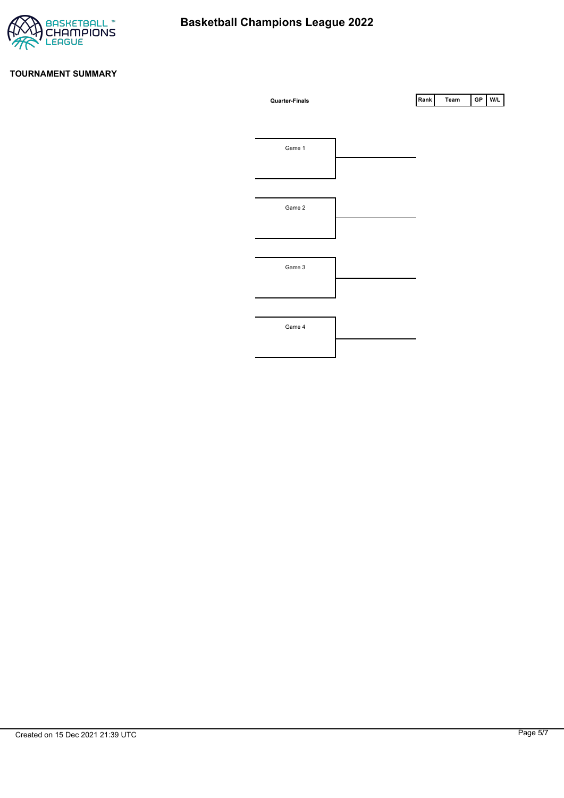

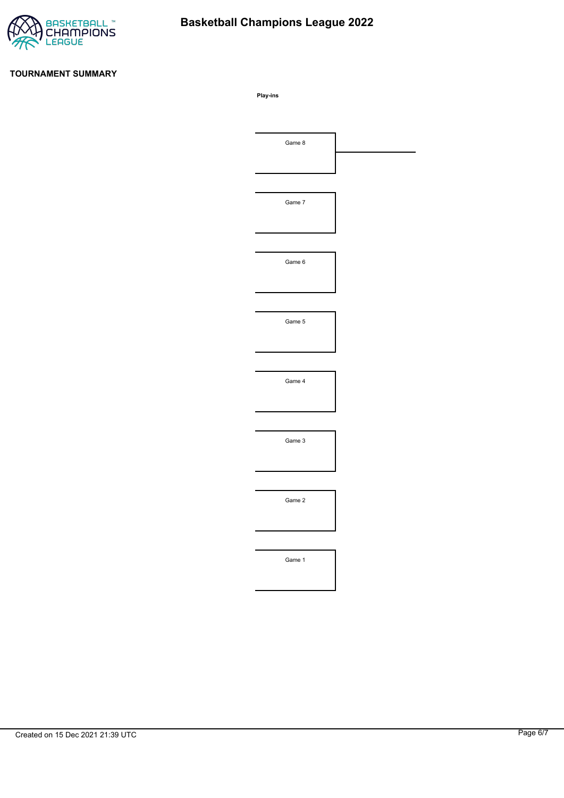

# **Basketball Champions League 2022**

#### **TOURNAMENT SUMMARY**

**Play-ins**

| Game 8 |  |
|--------|--|
|        |  |
|        |  |
| Game 7 |  |
|        |  |
|        |  |
| Game 6 |  |
|        |  |
|        |  |
| Game 5 |  |
|        |  |
|        |  |
| Game 4 |  |
|        |  |
|        |  |
|        |  |
| Game 3 |  |
|        |  |
|        |  |
| Game 2 |  |
|        |  |
|        |  |
| Game 1 |  |
|        |  |
|        |  |